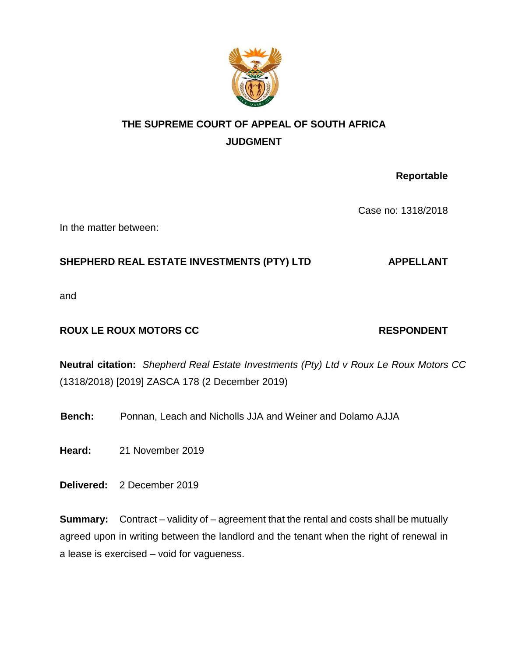

## **THE SUPREME COURT OF APPEAL OF SOUTH AFRICA JUDGMENT**

**Reportable** 

Case no: 1318/2018

In the matter between:

### SHEPHERD REAL ESTATE INVESTMENTS (PTY) LTD **APPELLANT**

and

### **ROUX LE ROUX MOTORS CC** RESPONDENT

# **Neutral citation:** *Shepherd Real Estate Investments (Pty) Ltd v Roux Le Roux Motors CC* (1318/2018) [2019] ZASCA 178 (2 December 2019)

**Bench:** Ponnan, Leach and Nicholls JJA and Weiner and Dolamo AJJA

**Heard:** 21 November 2019

**Delivered:** 2 December 2019

**Summary:** Contract – validity of – agreement that the rental and costs shall be mutually agreed upon in writing between the landlord and the tenant when the right of renewal in a lease is exercised – void for vagueness.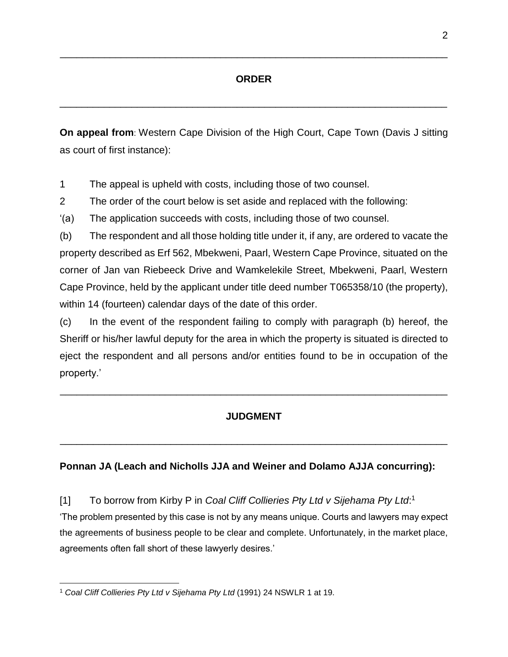\_\_\_\_\_\_\_\_\_\_\_\_\_\_\_\_\_\_\_\_\_\_\_\_\_\_\_\_\_\_\_\_\_\_\_\_\_\_\_\_\_\_\_\_\_\_\_\_\_\_\_\_\_\_\_\_\_\_\_\_\_\_\_\_\_\_\_\_\_\_

\_\_\_\_\_\_\_\_\_\_\_\_\_\_\_\_\_\_\_\_\_\_\_\_\_\_\_\_\_\_\_\_\_\_\_\_\_\_\_\_\_\_\_\_\_\_\_\_\_\_\_\_\_\_\_\_\_\_\_\_\_\_\_\_\_\_\_\_\_\_

**On appeal from**: Western Cape Division of the High Court, Cape Town (Davis J sitting as court of first instance):

1 The appeal is upheld with costs, including those of two counsel.

2 The order of the court below is set aside and replaced with the following:

'(a) The application succeeds with costs, including those of two counsel.

(b) The respondent and all those holding title under it, if any, are ordered to vacate the property described as Erf 562, Mbekweni, Paarl, Western Cape Province, situated on the corner of Jan van Riebeeck Drive and Wamkelekile Street, Mbekweni, Paarl, Western Cape Province, held by the applicant under title deed number T065358/10 (the property), within 14 (fourteen) calendar days of the date of this order.

(c) In the event of the respondent failing to comply with paragraph (b) hereof, the Sheriff or his/her lawful deputy for the area in which the property is situated is directed to eject the respondent and all persons and/or entities found to be in occupation of the property.'

### **JUDGMENT**

\_\_\_\_\_\_\_\_\_\_\_\_\_\_\_\_\_\_\_\_\_\_\_\_\_\_\_\_\_\_\_\_\_\_\_\_\_\_\_\_\_\_\_\_\_\_\_\_\_\_\_\_\_\_\_\_\_\_\_\_\_\_\_\_\_\_\_\_\_\_

\_\_\_\_\_\_\_\_\_\_\_\_\_\_\_\_\_\_\_\_\_\_\_\_\_\_\_\_\_\_\_\_\_\_\_\_\_\_\_\_\_\_\_\_\_\_\_\_\_\_\_\_\_\_\_\_\_\_\_\_\_\_\_\_\_\_\_\_\_\_

### **Ponnan JA (Leach and Nicholls JJA and Weiner and Dolamo AJJA concurring):**

[1] To borrow from Kirby P in *Coal Cliff Collieries Pty Ltd v Sijehama Pty Ltd*:<sup>1</sup> 'The problem presented by this case is not by any means unique. Courts and lawyers may expect the agreements of business people to be clear and complete. Unfortunately, in the market place, agreements often fall short of these lawyerly desires.'

 $\overline{a}$ <sup>1</sup> *Coal Cliff Collieries Pty Ltd v Sijehama Pty Ltd* (1991) 24 NSWLR 1 at 19.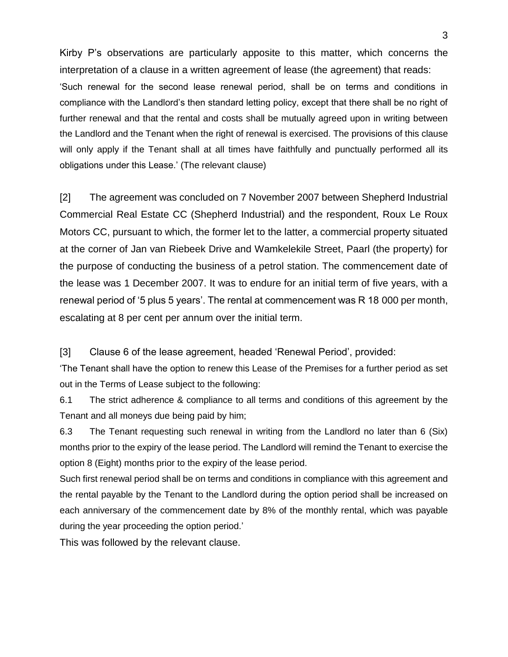Kirby P's observations are particularly apposite to this matter, which concerns the interpretation of a clause in a written agreement of lease (the agreement) that reads: 'Such renewal for the second lease renewal period, shall be on terms and conditions in compliance with the Landlord's then standard letting policy, except that there shall be no right of further renewal and that the rental and costs shall be mutually agreed upon in writing between the Landlord and the Tenant when the right of renewal is exercised. The provisions of this clause will only apply if the Tenant shall at all times have faithfully and punctually performed all its obligations under this Lease.' (The relevant clause)

[2] The agreement was concluded on 7 November 2007 between Shepherd Industrial Commercial Real Estate CC (Shepherd Industrial) and the respondent, Roux Le Roux Motors CC, pursuant to which, the former let to the latter, a commercial property situated at the corner of Jan van Riebeek Drive and Wamkelekile Street, Paarl (the property) for the purpose of conducting the business of a petrol station. The commencement date of the lease was 1 December 2007. It was to endure for an initial term of five years, with a renewal period of '5 plus 5 years'. The rental at commencement was R 18 000 per month, escalating at 8 per cent per annum over the initial term.

[3] Clause 6 of the lease agreement, headed 'Renewal Period', provided:

'The Tenant shall have the option to renew this Lease of the Premises for a further period as set out in the Terms of Lease subject to the following:

6.1 The strict adherence & compliance to all terms and conditions of this agreement by the Tenant and all moneys due being paid by him;

6.3 The Tenant requesting such renewal in writing from the Landlord no later than 6 (Six) months prior to the expiry of the lease period. The Landlord will remind the Tenant to exercise the option 8 (Eight) months prior to the expiry of the lease period.

Such first renewal period shall be on terms and conditions in compliance with this agreement and the rental payable by the Tenant to the Landlord during the option period shall be increased on each anniversary of the commencement date by 8% of the monthly rental, which was payable during the year proceeding the option period.'

This was followed by the relevant clause.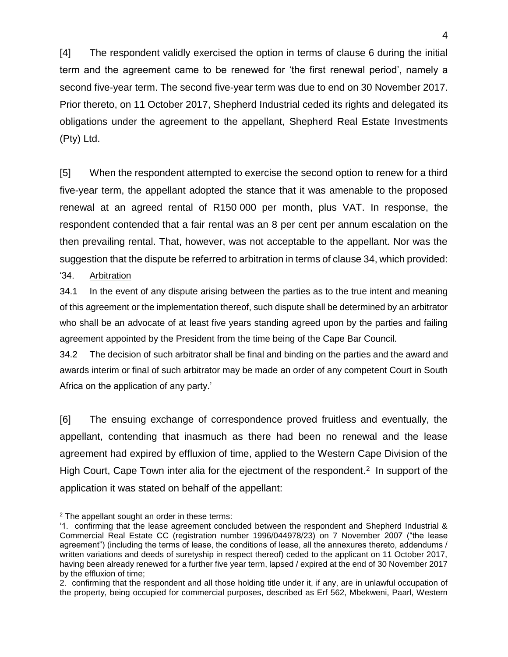[4] The respondent validly exercised the option in terms of clause 6 during the initial term and the agreement came to be renewed for 'the first renewal period', namely a second five-year term. The second five-year term was due to end on 30 November 2017. Prior thereto, on 11 October 2017, Shepherd Industrial ceded its rights and delegated its obligations under the agreement to the appellant, Shepherd Real Estate Investments (Pty) Ltd.

[5] When the respondent attempted to exercise the second option to renew for a third five-year term, the appellant adopted the stance that it was amenable to the proposed renewal at an agreed rental of R150 000 per month, plus VAT. In response, the respondent contended that a fair rental was an 8 per cent per annum escalation on the then prevailing rental. That, however, was not acceptable to the appellant. Nor was the suggestion that the dispute be referred to arbitration in terms of clause 34, which provided:

'34. Arbitration

 $\overline{a}$ 

34.1 In the event of any dispute arising between the parties as to the true intent and meaning of this agreement or the implementation thereof, such dispute shall be determined by an arbitrator who shall be an advocate of at least five years standing agreed upon by the parties and failing agreement appointed by the President from the time being of the Cape Bar Council.

34.2 The decision of such arbitrator shall be final and binding on the parties and the award and awards interim or final of such arbitrator may be made an order of any competent Court in South Africa on the application of any party.'

[6] The ensuing exchange of correspondence proved fruitless and eventually, the appellant, contending that inasmuch as there had been no renewal and the lease agreement had expired by effluxion of time, applied to the Western Cape Division of the High Court, Cape Town inter alia for the ejectment of the respondent.<sup>2</sup> In support of the application it was stated on behalf of the appellant:

<sup>2</sup> The appellant sought an order in these terms:

<sup>&#</sup>x27;1. confirming that the lease agreement concluded between the respondent and Shepherd Industrial & Commercial Real Estate CC (registration number 1996/044978/23) on 7 November 2007 ("the lease agreement") (including the terms of lease, the conditions of lease, all the annexures thereto, addendums / written variations and deeds of suretyship in respect thereof) ceded to the applicant on 11 October 2017, having been already renewed for a further five year term, lapsed / expired at the end of 30 November 2017 by the effluxion of time;

<sup>2.</sup> confirming that the respondent and all those holding title under it, if any, are in unlawful occupation of the property, being occupied for commercial purposes, described as Erf 562, Mbekweni, Paarl, Western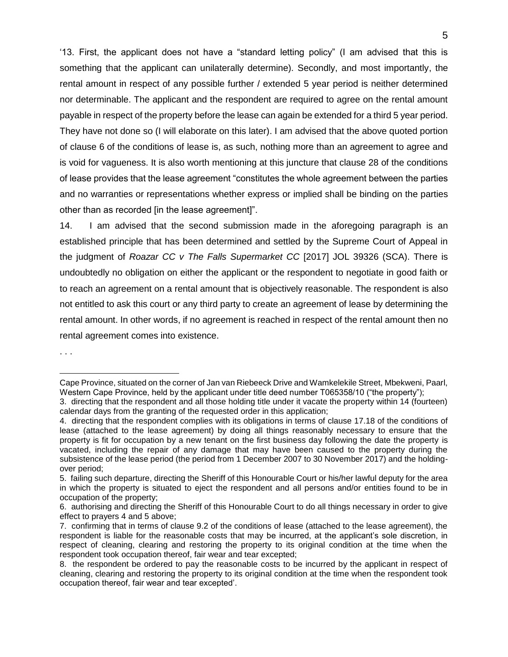'13. First, the applicant does not have a "standard letting policy" (I am advised that this is something that the applicant can unilaterally determine). Secondly, and most importantly, the rental amount in respect of any possible further / extended 5 year period is neither determined nor determinable. The applicant and the respondent are required to agree on the rental amount payable in respect of the property before the lease can again be extended for a third 5 year period. They have not done so (I will elaborate on this later). I am advised that the above quoted portion of clause 6 of the conditions of lease is, as such, nothing more than an agreement to agree and is void for vagueness. It is also worth mentioning at this juncture that clause 28 of the conditions of lease provides that the lease agreement "constitutes the whole agreement between the parties and no warranties or representations whether express or implied shall be binding on the parties other than as recorded [in the lease agreement]".

14. I am advised that the second submission made in the aforegoing paragraph is an established principle that has been determined and settled by the Supreme Court of Appeal in the judgment of *Roazar CC v The Falls Supermarket CC* [2017] JOL 39326 (SCA). There is undoubtedly no obligation on either the applicant or the respondent to negotiate in good faith or to reach an agreement on a rental amount that is objectively reasonable. The respondent is also not entitled to ask this court or any third party to create an agreement of lease by determining the rental amount. In other words, if no agreement is reached in respect of the rental amount then no rental agreement comes into existence.

. . .

Cape Province, situated on the corner of Jan van Riebeeck Drive and Wamkelekile Street, Mbekweni, Paarl, Western Cape Province, held by the applicant under title deed number T065358/10 ("the property");

<sup>3.</sup> directing that the respondent and all those holding title under it vacate the property within 14 (fourteen) calendar days from the granting of the requested order in this application;

<sup>4.</sup> directing that the respondent complies with its obligations in terms of clause 17.18 of the conditions of lease (attached to the lease agreement) by doing all things reasonably necessary to ensure that the property is fit for occupation by a new tenant on the first business day following the date the property is vacated, including the repair of any damage that may have been caused to the property during the subsistence of the lease period (the period from 1 December 2007 to 30 November 2017) and the holdingover period;

<sup>5.</sup> failing such departure, directing the Sheriff of this Honourable Court or his/her lawful deputy for the area in which the property is situated to eject the respondent and all persons and/or entities found to be in occupation of the property;

<sup>6.</sup> authorising and directing the Sheriff of this Honourable Court to do all things necessary in order to give effect to prayers 4 and 5 above;

<sup>7.</sup> confirming that in terms of clause 9.2 of the conditions of lease (attached to the lease agreement), the respondent is liable for the reasonable costs that may be incurred, at the applicant's sole discretion, in respect of cleaning, clearing and restoring the property to its original condition at the time when the respondent took occupation thereof, fair wear and tear excepted;

<sup>8.</sup> the respondent be ordered to pay the reasonable costs to be incurred by the applicant in respect of cleaning, clearing and restoring the property to its original condition at the time when the respondent took occupation thereof, fair wear and tear excepted'.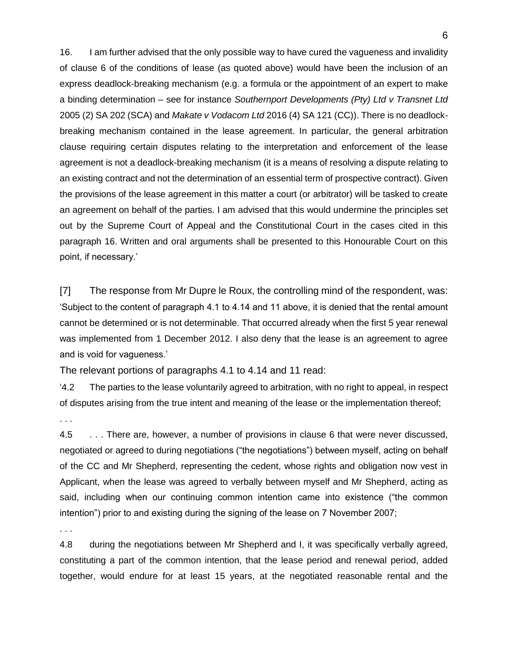16. I am further advised that the only possible way to have cured the vagueness and invalidity of clause 6 of the conditions of lease (as quoted above) would have been the inclusion of an express deadlock-breaking mechanism (e.g. a formula or the appointment of an expert to make a binding determination – see for instance *Southernport Developments (Pty) Ltd v Transnet Ltd*  2005 (2) SA 202 (SCA) and *Makate v Vodacom Ltd* 2016 (4) SA 121 (CC)). There is no deadlockbreaking mechanism contained in the lease agreement. In particular, the general arbitration clause requiring certain disputes relating to the interpretation and enforcement of the lease agreement is not a deadlock-breaking mechanism (it is a means of resolving a dispute relating to an existing contract and not the determination of an essential term of prospective contract). Given the provisions of the lease agreement in this matter a court (or arbitrator) will be tasked to create an agreement on behalf of the parties. I am advised that this would undermine the principles set out by the Supreme Court of Appeal and the Constitutional Court in the cases cited in this paragraph 16. Written and oral arguments shall be presented to this Honourable Court on this point, if necessary.'

[7] The response from Mr Dupre le Roux, the controlling mind of the respondent, was: 'Subject to the content of paragraph 4.1 to 4.14 and 11 above, it is denied that the rental amount cannot be determined or is not determinable. That occurred already when the first 5 year renewal was implemented from 1 December 2012. I also deny that the lease is an agreement to agree and is void for vagueness.'

The relevant portions of paragraphs 4.1 to 4.14 and 11 read:

'4.2 The parties to the lease voluntarily agreed to arbitration, with no right to appeal, in respect of disputes arising from the true intent and meaning of the lease or the implementation thereof;

. . .

4.5 . . . There are, however, a number of provisions in clause 6 that were never discussed, negotiated or agreed to during negotiations ("the negotiations") between myself, acting on behalf of the CC and Mr Shepherd, representing the cedent, whose rights and obligation now vest in Applicant, when the lease was agreed to verbally between myself and Mr Shepherd, acting as said, including when our continuing common intention came into existence ("the common intention") prior to and existing during the signing of the lease on 7 November 2007;

. . .

4.8 during the negotiations between Mr Shepherd and I, it was specifically verbally agreed, constituting a part of the common intention, that the lease period and renewal period, added together, would endure for at least 15 years, at the negotiated reasonable rental and the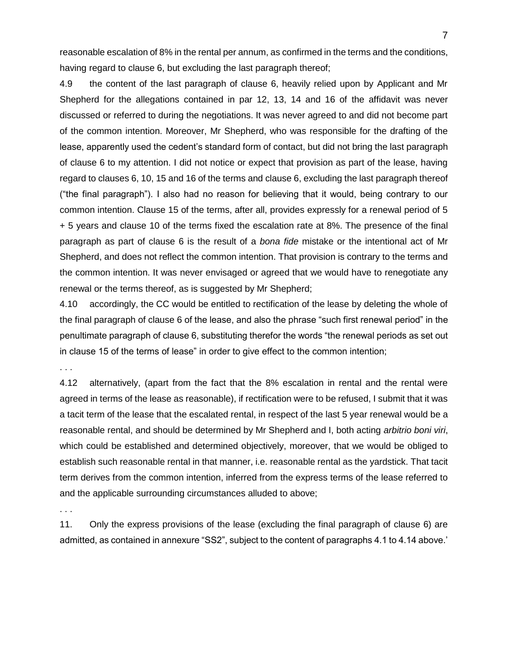reasonable escalation of 8% in the rental per annum, as confirmed in the terms and the conditions, having regard to clause 6, but excluding the last paragraph thereof;

4.9 the content of the last paragraph of clause 6, heavily relied upon by Applicant and Mr Shepherd for the allegations contained in par 12, 13, 14 and 16 of the affidavit was never discussed or referred to during the negotiations. It was never agreed to and did not become part of the common intention. Moreover, Mr Shepherd, who was responsible for the drafting of the lease, apparently used the cedent's standard form of contact, but did not bring the last paragraph of clause 6 to my attention. I did not notice or expect that provision as part of the lease, having regard to clauses 6, 10, 15 and 16 of the terms and clause 6, excluding the last paragraph thereof ("the final paragraph"). I also had no reason for believing that it would, being contrary to our common intention. Clause 15 of the terms, after all, provides expressly for a renewal period of 5 + 5 years and clause 10 of the terms fixed the escalation rate at 8%. The presence of the final paragraph as part of clause 6 is the result of a *bona fide* mistake or the intentional act of Mr Shepherd, and does not reflect the common intention. That provision is contrary to the terms and the common intention. It was never envisaged or agreed that we would have to renegotiate any renewal or the terms thereof, as is suggested by Mr Shepherd;

4.10 accordingly, the CC would be entitled to rectification of the lease by deleting the whole of the final paragraph of clause 6 of the lease, and also the phrase "such first renewal period" in the penultimate paragraph of clause 6, substituting therefor the words "the renewal periods as set out in clause 15 of the terms of lease" in order to give effect to the common intention;

. . .

4.12 alternatively, (apart from the fact that the 8% escalation in rental and the rental were agreed in terms of the lease as reasonable), if rectification were to be refused, I submit that it was a tacit term of the lease that the escalated rental, in respect of the last 5 year renewal would be a reasonable rental, and should be determined by Mr Shepherd and I, both acting *arbitrio boni viri*, which could be established and determined objectively, moreover, that we would be obliged to establish such reasonable rental in that manner, i.e. reasonable rental as the yardstick. That tacit term derives from the common intention, inferred from the express terms of the lease referred to and the applicable surrounding circumstances alluded to above;

. . .

11. Only the express provisions of the lease (excluding the final paragraph of clause 6) are admitted, as contained in annexure "SS2", subject to the content of paragraphs 4.1 to 4.14 above.'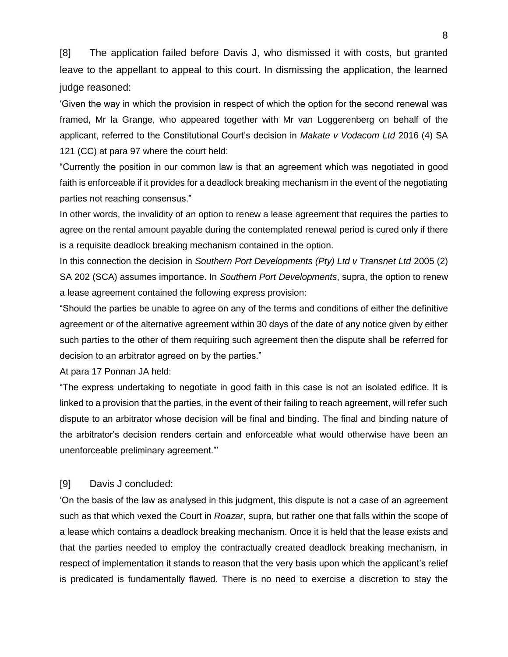[8] The application failed before Davis J, who dismissed it with costs, but granted leave to the appellant to appeal to this court. In dismissing the application, the learned judge reasoned:

'Given the way in which the provision in respect of which the option for the second renewal was framed, Mr la Grange, who appeared together with Mr van Loggerenberg on behalf of the applicant, referred to the Constitutional Court's decision in *Makate v Vodacom Ltd* 2016 (4) SA 121 (CC) at para 97 where the court held:

"Currently the position in our common law is that an agreement which was negotiated in good faith is enforceable if it provides for a deadlock breaking mechanism in the event of the negotiating parties not reaching consensus."

In other words, the invalidity of an option to renew a lease agreement that requires the parties to agree on the rental amount payable during the contemplated renewal period is cured only if there is a requisite deadlock breaking mechanism contained in the option.

In this connection the decision in *Southern Port Developments (Pty) Ltd v Transnet Ltd* 2005 (2) SA 202 (SCA) assumes importance. In *Southern Port Developments*, supra, the option to renew a lease agreement contained the following express provision:

"Should the parties be unable to agree on any of the terms and conditions of either the definitive agreement or of the alternative agreement within 30 days of the date of any notice given by either such parties to the other of them requiring such agreement then the dispute shall be referred for decision to an arbitrator agreed on by the parties."

At para 17 Ponnan JA held:

"The express undertaking to negotiate in good faith in this case is not an isolated edifice. It is linked to a provision that the parties, in the event of their failing to reach agreement, will refer such dispute to an arbitrator whose decision will be final and binding. The final and binding nature of the arbitrator's decision renders certain and enforceable what would otherwise have been an unenforceable preliminary agreement."'

### [9] Davis J concluded:

'On the basis of the law as analysed in this judgment, this dispute is not a case of an agreement such as that which vexed the Court in *Roazar*, supra, but rather one that falls within the scope of a lease which contains a deadlock breaking mechanism. Once it is held that the lease exists and that the parties needed to employ the contractually created deadlock breaking mechanism, in respect of implementation it stands to reason that the very basis upon which the applicant's relief is predicated is fundamentally flawed. There is no need to exercise a discretion to stay the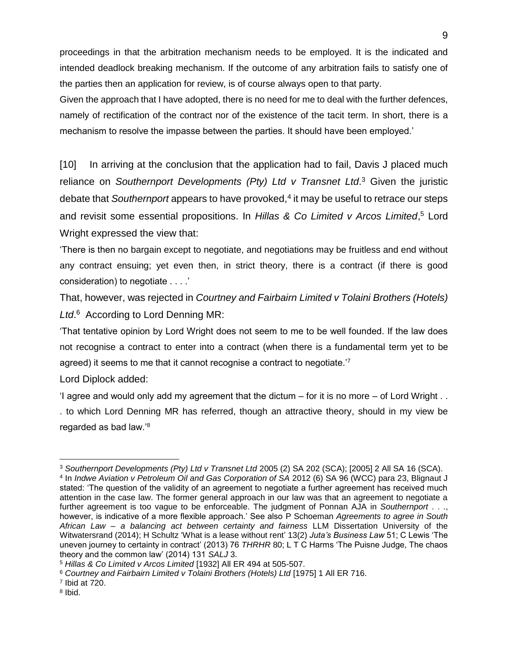proceedings in that the arbitration mechanism needs to be employed. It is the indicated and intended deadlock breaking mechanism. If the outcome of any arbitration fails to satisfy one of the parties then an application for review, is of course always open to that party.

Given the approach that I have adopted, there is no need for me to deal with the further defences, namely of rectification of the contract nor of the existence of the tacit term. In short, there is a mechanism to resolve the impasse between the parties. It should have been employed.'

[10] In arriving at the conclusion that the application had to fail, Davis J placed much reliance on *Southernport Developments (Pty) Ltd v Transnet Ltd*. <sup>3</sup> Given the juristic debate that *Southernport* appears to have provoked,<sup>4</sup> it may be useful to retrace our steps and revisit some essential propositions. In *Hillas & Co Limited v Arcos Limited*, <sup>5</sup> Lord Wright expressed the view that:

'There is then no bargain except to negotiate, and negotiations may be fruitless and end without any contract ensuing; yet even then, in strict theory, there is a contract (if there is good consideration) to negotiate . . . .'

That, however, was rejected in *Courtney and Fairbairn Limited v Tolaini Brothers (Hotels) Ltd*. <sup>6</sup> According to Lord Denning MR:

'That tentative opinion by Lord Wright does not seem to me to be well founded. If the law does not recognise a contract to enter into a contract (when there is a fundamental term yet to be agreed) it seems to me that it cannot recognise a contract to negotiate.<sup>'7</sup>

Lord Diplock added:

'I agree and would only add my agreement that the dictum – for it is no more – of Lord Wright . .

. to which Lord Denning MR has referred, though an attractive theory, should in my view be regarded as bad law.'<sup>8</sup>

<sup>8</sup> Ibid.

<sup>3</sup> *Southernport Developments (Pty) Ltd v Transnet Ltd* 2005 (2) SA 202 (SCA); [2005] 2 All SA 16 (SCA).

<sup>4</sup> In *Indwe Aviation v Petroleum Oil and Gas Corporation of SA* 2012 (6) SA 96 (WCC) para 23, Blignaut J stated: 'The question of the validity of an agreement to negotiate a further agreement has received much attention in the case law. The former general approach in our law was that an agreement to negotiate a further agreement is too vague to be enforceable. The judgment of Ponnan AJA in *Southernport* . . ., however, is indicative of a more flexible approach.' See also P Schoeman *Agreements to agree in South African Law – a balancing act between certainty and fairness* LLM Dissertation University of the Witwatersrand (2014); H Schultz 'What is a lease without rent' 13(2) *Juta's Business Law* 51; C Lewis 'The uneven journey to certainty in contract' (2013) 76 *THRHR* 80; L T C Harms 'The Puisne Judge, The chaos theory and the common law' (2014) 131 *SALJ* 3.

<sup>5</sup> *Hillas & Co Limited v Arcos Limited* [1932] All ER 494 at 505-507.

<sup>6</sup> *Courtney and Fairbairn Limited v Tolaini Brothers (Hotels) Ltd* [1975] 1 All ER 716.

<sup>7</sup> Ibid at 720.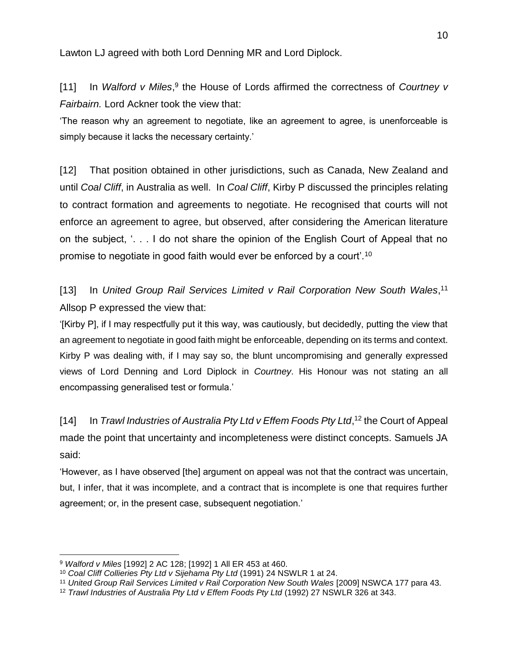Lawton LJ agreed with both Lord Denning MR and Lord Diplock.

[11] In Walford v Miles,<sup>9</sup> the House of Lords affirmed the correctness of *Courtney v Fairbairn.* Lord Ackner took the view that:

'The reason why an agreement to negotiate, like an agreement to agree, is unenforceable is simply because it lacks the necessary certainty.'

[12] That position obtained in other jurisdictions, such as Canada, New Zealand and until *Coal Cliff*, in Australia as well. In *Coal Cliff*, Kirby P discussed the principles relating to contract formation and agreements to negotiate. He recognised that courts will not enforce an agreement to agree, but observed, after considering the American literature on the subject, '. . . I do not share the opinion of the English Court of Appeal that no promise to negotiate in good faith would ever be enforced by a court'.<sup>10</sup>

[13] In United Group Rail Services Limited v Rail Corporation New South Wales,<sup>11</sup> Allsop P expressed the view that:

'[Kirby P], if I may respectfully put it this way, was cautiously, but decidedly, putting the view that an agreement to negotiate in good faith might be enforceable, depending on its terms and context. Kirby P was dealing with, if I may say so, the blunt uncompromising and generally expressed views of Lord Denning and Lord Diplock in *Courtney*. His Honour was not stating an all encompassing generalised test or formula.'

[14] In *Trawl Industries of Australia Pty Ltd v Effem Foods Pty Ltd*,<sup>12</sup> the Court of Appeal made the point that uncertainty and incompleteness were distinct concepts. Samuels JA said:

'However, as I have observed [the] argument on appeal was not that the contract was uncertain, but, I infer, that it was incomplete, and a contract that is incomplete is one that requires further agreement; or, in the present case, subsequent negotiation.'

<sup>9</sup> *Walford v Miles* [1992] 2 AC 128; [1992] 1 All ER 453 at 460.

<sup>10</sup> *Coal Cliff Collieries Pty Ltd v Sijehama Pty Ltd* (1991) 24 NSWLR 1 at 24.

<sup>&</sup>lt;sup>11</sup> United Group Rail Services Limited v Rail Corporation New South Wales [2009] NSWCA 177 para 43.

<sup>12</sup> *Trawl Industries of Australia Pty Ltd v Effem Foods Pty Ltd* (1992) 27 NSWLR 326 at 343.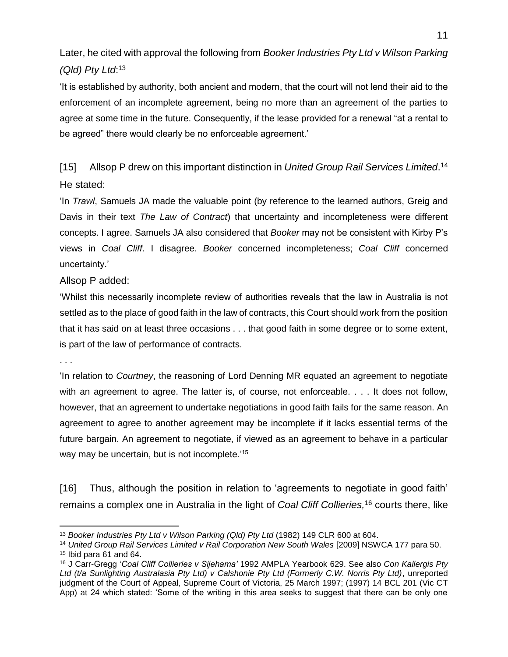Later, he cited with approval the following from *Booker Industries Pty Ltd v Wilson Parking (Qld) Pty Ltd*: 13

'It is established by authority, both ancient and modern, that the court will not lend their aid to the enforcement of an incomplete agreement, being no more than an agreement of the parties to agree at some time in the future. Consequently, if the lease provided for a renewal "at a rental to be agreed" there would clearly be no enforceable agreement.'

[15] Allsop P drew on this important distinction in *United Group Rail Services Limited*. 14 He stated:

'In *Trawl*, Samuels JA made the valuable point (by reference to the learned authors, Greig and Davis in their text *The Law of Contract*) that uncertainty and incompleteness were different concepts. I agree. Samuels JA also considered that *Booker* may not be consistent with Kirby P's views in *Coal Cliff*. I disagree. *Booker* concerned incompleteness; *Coal Cliff* concerned uncertainty.'

Allsop P added:

'Whilst this necessarily incomplete review of authorities reveals that the law in Australia is not settled as to the place of good faith in the law of contracts, this Court should work from the position that it has said on at least three occasions . . . that good faith in some degree or to some extent, is part of the law of performance of contracts.

. . .

 $\overline{a}$ 

'In relation to *Courtney*, the reasoning of Lord Denning MR equated an agreement to negotiate with an agreement to agree. The latter is, of course, not enforceable. . . . It does not follow, however, that an agreement to undertake negotiations in good faith fails for the same reason. An agreement to agree to another agreement may be incomplete if it lacks essential terms of the future bargain. An agreement to negotiate, if viewed as an agreement to behave in a particular way may be uncertain, but is not incomplete.<sup>'15</sup>

[16] Thus, although the position in relation to 'agreements to negotiate in good faith' remains a complex one in Australia in the light of *Coal Cliff Collieries,* <sup>16</sup> courts there, like

<sup>13</sup> *Booker Industries Pty Ltd v Wilson Parking (Qld) Pty Ltd* (1982) 149 CLR 600 at 604.

<sup>&</sup>lt;sup>14</sup> United Group Rail Services Limited v Rail Corporation New South Wales [2009] NSWCA 177 para 50.  $15$  Ibid para 61 and 64.

<sup>16</sup> J Carr-Gregg '*Coal Cliff Collieries v Sijehama'* 1992 AMPLA Yearbook 629. See also *Con Kallergis Pty Ltd (t/a Sunlighting Australasia Pty Ltd) v Calshonie Pty Ltd (Formerly C.W. Norris Pty Ltd)*, unreported judgment of the Court of Appeal, Supreme Court of Victoria, 25 March 1997; (1997) 14 BCL 201 (Vic CT App) at 24 which stated: 'Some of the writing in this area seeks to suggest that there can be only one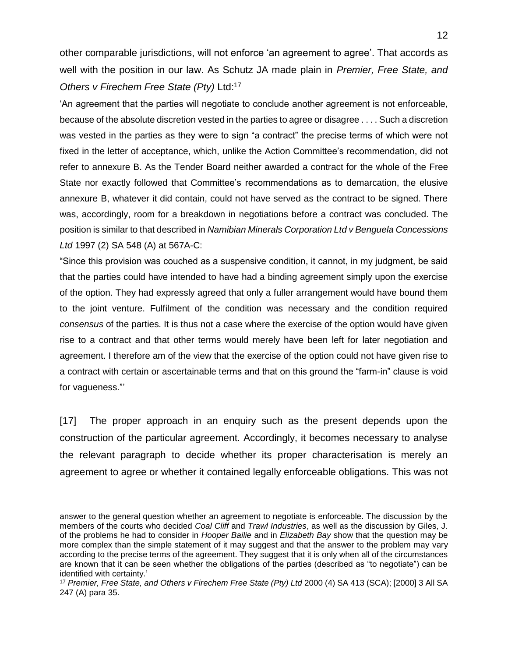other comparable jurisdictions, will not enforce 'an agreement to agree'. That accords as well with the position in our law. As Schutz JA made plain in *Premier, Free State, and Others v Firechem Free State (Pty)* Ltd: 17

'An agreement that the parties will negotiate to conclude another agreement is not enforceable, because of the absolute discretion vested in the parties to agree or disagree . . . . Such a discretion was vested in the parties as they were to sign "a contract" the precise terms of which were not fixed in the letter of acceptance, which, unlike the Action Committee's recommendation, did not refer to annexure B. As the Tender Board neither awarded a contract for the whole of the Free State nor exactly followed that Committee's recommendations as to demarcation, the elusive annexure B, whatever it did contain, could not have served as the contract to be signed. There was, accordingly, room for a breakdown in negotiations before a contract was concluded. The position is similar to that described in *Namibian Minerals Corporation Ltd v Benguela Concessions Ltd* 1997 (2) SA 548 (A) at 567A-C:

"Since this provision was couched as a suspensive condition, it cannot, in my judgment, be said that the parties could have intended to have had a binding agreement simply upon the exercise of the option. They had expressly agreed that only a fuller arrangement would have bound them to the joint venture. Fulfilment of the condition was necessary and the condition required *consensus* of the parties. It is thus not a case where the exercise of the option would have given rise to a contract and that other terms would merely have been left for later negotiation and agreement. I therefore am of the view that the exercise of the option could not have given rise to a contract with certain or ascertainable terms and that on this ground the "farm-in" clause is void for vagueness."'

[17] The proper approach in an enquiry such as the present depends upon the construction of the particular agreement. Accordingly, it becomes necessary to analyse the relevant paragraph to decide whether its proper characterisation is merely an agreement to agree or whether it contained legally enforceable obligations. This was not

answer to the general question whether an agreement to negotiate is enforceable. The discussion by the members of the courts who decided *Coal Cliff* and *Trawl Industries*, as well as the discussion by Giles, J. of the problems he had to consider in *Hooper Bailie* and in *Elizabeth Bay* show that the question may be more complex than the simple statement of it may suggest and that the answer to the problem may vary according to the precise terms of the agreement. They suggest that it is only when all of the circumstances are known that it can be seen whether the obligations of the parties (described as "to negotiate") can be identified with certainty.'

<sup>17</sup> *Premier, Free State, and Others v Firechem Free State (Pty) Ltd* 2000 (4) SA 413 (SCA); [2000] 3 All SA 247 (A) para 35.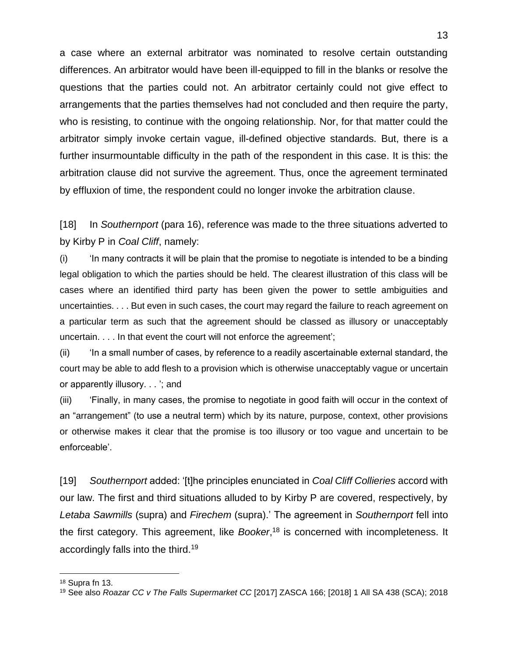a case where an external arbitrator was nominated to resolve certain outstanding differences. An arbitrator would have been ill-equipped to fill in the blanks or resolve the questions that the parties could not. An arbitrator certainly could not give effect to arrangements that the parties themselves had not concluded and then require the party, who is resisting, to continue with the ongoing relationship. Nor, for that matter could the arbitrator simply invoke certain vague, ill-defined objective standards. But, there is a further insurmountable difficulty in the path of the respondent in this case. It is this: the arbitration clause did not survive the agreement. Thus, once the agreement terminated by effluxion of time, the respondent could no longer invoke the arbitration clause.

[18] In *Southernport* (para 16), reference was made to the three situations adverted to by Kirby P in *Coal Cliff*, namely:

(i) 'In many contracts it will be plain that the promise to negotiate is intended to be a binding legal obligation to which the parties should be held. The clearest illustration of this class will be cases where an identified third party has been given the power to settle ambiguities and uncertainties. . . . But even in such cases, the court may regard the failure to reach agreement on a particular term as such that the agreement should be classed as illusory or unacceptably uncertain. . . . In that event the court will not enforce the agreement';

(ii) 'In a small number of cases, by reference to a readily ascertainable external standard, the court may be able to add flesh to a provision which is otherwise unacceptably vague or uncertain or apparently illusory. . . '; and

(iii) 'Finally, in many cases, the promise to negotiate in good faith will occur in the context of an "arrangement" (to use a neutral term) which by its nature, purpose, context, other provisions or otherwise makes it clear that the promise is too illusory or too vague and uncertain to be enforceable'.

[19] *Southernport* added: '[t]he principles enunciated in *Coal Cliff Collieries* accord with our law. The first and third situations alluded to by Kirby P are covered, respectively, by *Letaba Sawmills* (supra) and *Firechem* (supra).' The agreement in *Southernport* fell into the first category. This agreement, like *Booker*, <sup>18</sup> is concerned with incompleteness. It accordingly falls into the third.<sup>19</sup>

<sup>18</sup> Supra fn 13.

<sup>19</sup> See also *Roazar CC v The Falls Supermarket CC* [2017] ZASCA 166; [2018] 1 All SA 438 (SCA); 2018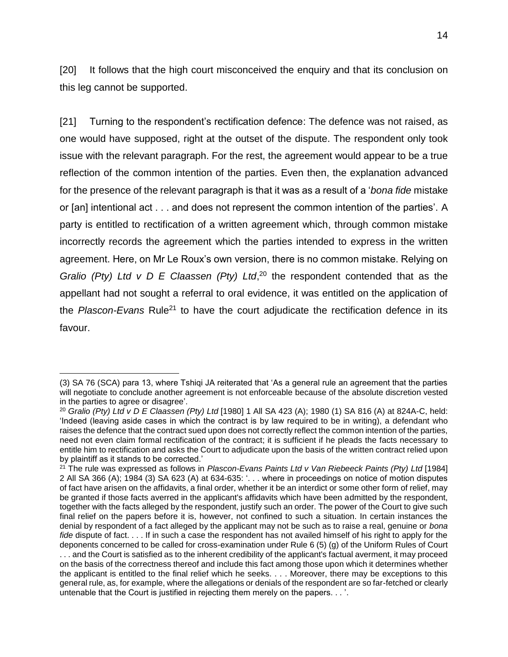[20] It follows that the high court misconceived the enquiry and that its conclusion on this leg cannot be supported.

[21] Turning to the respondent's rectification defence: The defence was not raised, as one would have supposed, right at the outset of the dispute. The respondent only took issue with the relevant paragraph. For the rest, the agreement would appear to be a true reflection of the common intention of the parties. Even then, the explanation advanced for the presence of the relevant paragraph is that it was as a result of a '*bona fide* mistake or [an] intentional act . . . and does not represent the common intention of the parties'. A party is entitled to rectification of a written agreement which, through common mistake incorrectly records the agreement which the parties intended to express in the written agreement. Here, on Mr Le Roux's own version, there is no common mistake. Relying on *Gralio (Pty) Ltd v D E Claassen (Pty) Ltd*, <sup>20</sup> the respondent contended that as the appellant had not sought a referral to oral evidence, it was entitled on the application of the *Plascon-Evans* Rule<sup>21</sup> to have the court adjudicate the rectification defence in its favour.

<sup>(3)</sup> SA 76 (SCA) para 13, where Tshiqi JA reiterated that 'As a general rule an agreement that the parties will negotiate to conclude another agreement is not enforceable because of the absolute discretion vested in the parties to agree or disagree'.

<sup>20</sup> *Gralio (Pty) Ltd v D E Claassen (Pty) Ltd* [1980] 1 All SA 423 (A); [1980 \(1\) SA 816](http://www.saflii.org/cgi-bin/LawCite?cit=1980%20%281%29%20SA%20816) (A) at 824A-C, held: 'Indeed (leaving aside cases in which the contract is by law required to be in writing), a defendant who raises the defence that the contract sued upon does not correctly reflect the common intention of the parties, need not even claim formal rectification of the contract; it is sufficient if he pleads the facts necessary to entitle him to rectification and asks the Court to adjudicate upon the basis of the written contract relied upon by plaintiff as it stands to be corrected.'

<sup>21</sup> The rule was expressed as follows in *Plascon-Evans Paints Ltd v Van Riebeeck Paints (Pty) Ltd* [1984] 2 All SA 366 (A); 1984 (3) SA 623 (A) at 634-635: '. . . where in proceedings on notice of motion disputes of fact have arisen on the affidavits, a final order, whether it be an interdict or some other form of relief, may be granted if those facts averred in the applicant's affidavits which have been admitted by the respondent, together with the facts alleged by the respondent, justify such an order. The power of the Court to give such final relief on the papers before it is, however, not confined to such a situation. In certain instances the denial by respondent of a fact alleged by the applicant may not be such as to raise a real, genuine or *bona fide* dispute of fact. . . . If in such a case the respondent has not availed himself of his right to apply for the deponents concerned to be called for cross-examination under Rule 6 (5) (g) of the Uniform Rules of Court . . . and the Court is satisfied as to the inherent credibility of the applicant's factual averment, it may proceed on the basis of the correctness thereof and include this fact among those upon which it determines whether the applicant is entitled to the final relief which he seeks. . . . Moreover, there may be exceptions to this general rule, as, for example, where the allegations or denials of the respondent are so far-fetched or clearly untenable that the Court is justified in rejecting them merely on the papers. . . '.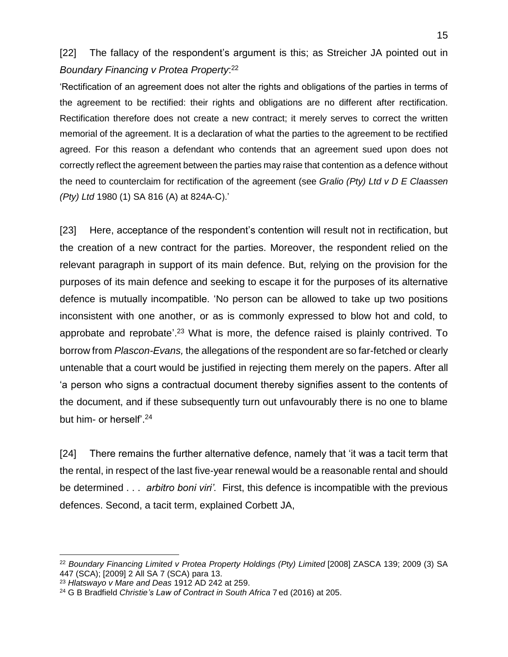## [22] The fallacy of the respondent's argument is this; as Streicher JA pointed out in *Boundary Financing v Protea Property*: 22

'Rectification of an agreement does not alter the rights and obligations of the parties in terms of the agreement to be rectified: their rights and obligations are no different after rectification. Rectification therefore does not create a new contract; it merely serves to correct the written memorial of the agreement. It is a declaration of what the parties to the agreement to be rectified agreed. For this reason a defendant who contends that an agreement sued upon does not correctly reflect the agreement between the parties may raise that contention as a defence without the need to counterclaim for rectification of the agreement (see *Gralio (Pty) Ltd v D E Claassen (Pty) Ltd* [1980 \(1\) SA 816](http://www.saflii.org/cgi-bin/LawCite?cit=1980%20%281%29%20SA%20816) (A) at 824A-C).'

[23] Here, acceptance of the respondent's contention will result not in rectification, but the creation of a new contract for the parties. Moreover, the respondent relied on the relevant paragraph in support of its main defence. But, relying on the provision for the purposes of its main defence and seeking to escape it for the purposes of its alternative defence is mutually incompatible. 'No person can be allowed to take up two positions inconsistent with one another, or as is commonly expressed to blow hot and cold, to approbate and reprobate'.<sup>23</sup> What is more, the defence raised is plainly contrived. To borrow from *Plascon-Evans,* the allegations of the respondent are so far-fetched or clearly untenable that a court would be justified in rejecting them merely on the papers. After all 'a person who signs a contractual document thereby signifies assent to the contents of the document, and if these subsequently turn out unfavourably there is no one to blame but him- or herself'.<sup>24</sup>

[24] There remains the further alternative defence, namely that 'it was a tacit term that the rental, in respect of the last five-year renewal would be a reasonable rental and should be determined . . . *arbitro boni viri'.* First, this defence is incompatible with the previous defences. Second, a tacit term, explained Corbett JA,

<sup>22</sup> *Boundary Financing Limited v Protea Property Holdings (Pty) Limited* [\[2008\] ZASCA 139;](http://www.saflii.org/za/cases/ZASCA/2008/139.html) 2009 (3) SA 447 (SCA); [2009] 2 All SA 7 (SCA) para 13.

<sup>23</sup> *Hlatswayo v Mare and Deas* [1912 AD 242](http://www.saflii.org/cgi-bin/LawCite?cit=1912%20AD%20242) at 259.

<sup>24</sup> G B Bradfield *Christie's Law of Contract in South Africa* 7 ed (2016) at 205.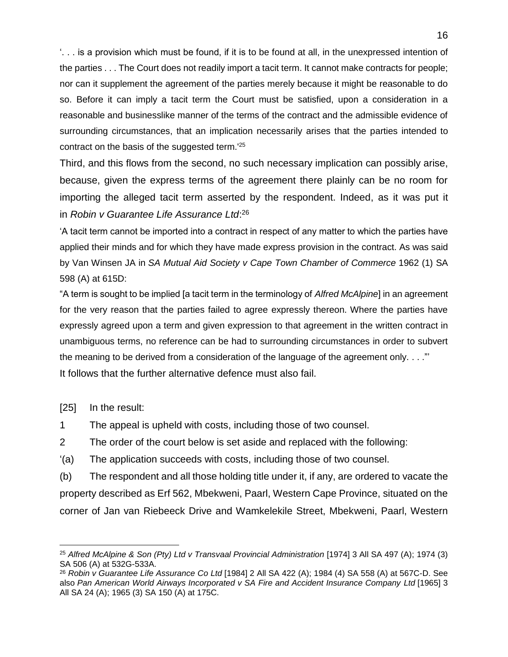'. . . is a provision which must be found, if it is to be found at all, in the unexpressed intention of the parties . . . The Court does not readily import a tacit term. It cannot make contracts for people; nor can it supplement the agreement of the parties merely because it might be reasonable to do so. Before it can imply a tacit term the Court must be satisfied, upon a consideration in a reasonable and businesslike manner of the terms of the contract and the admissible evidence of surrounding circumstances, that an implication necessarily arises that the parties intended to contract on the basis of the suggested term.'<sup>25</sup>

Third, and this flows from the second, no such necessary implication can possibly arise, because, given the express terms of the agreement there plainly can be no room for importing the alleged tacit term asserted by the respondent. Indeed, as it was put it in *Robin v Guarantee Life Assurance Ltd*: 26

'A tacit term cannot be imported into a contract in respect of any matter to which the parties have applied their minds and for which they have made express provision in the contract. As was said by Van Winsen JA in *SA Mutual Aid Society v Cape Town Chamber of Commerce* [1962 \(1\) SA](http://www.saflii.org/cgi-bin/LawCite?cit=1962%20%281%29%20SA%20598)  [598](http://www.saflii.org/cgi-bin/LawCite?cit=1962%20%281%29%20SA%20598) (A) at 615D:

"A term is sought to be implied [a tacit term in the terminology of *Alfred McAlpine*] in an agreement for the very reason that the parties failed to agree expressly thereon. Where the parties have expressly agreed upon a term and given expression to that agreement in the written contract in unambiguous terms, no reference can be had to surrounding circumstances in order to subvert the meaning to be derived from a consideration of the language of the agreement only. . . ."' It follows that the further alternative defence must also fail.

[25] In the result:

 $\overline{a}$ 

- 1 The appeal is upheld with costs, including those of two counsel.
- 2 The order of the court below is set aside and replaced with the following:
- '(a) The application succeeds with costs, including those of two counsel.

(b) The respondent and all those holding title under it, if any, are ordered to vacate the property described as Erf 562, Mbekweni, Paarl, Western Cape Province, situated on the corner of Jan van Riebeeck Drive and Wamkelekile Street, Mbekweni, Paarl, Western

<sup>25</sup> *Alfred McAlpine & Son (Pty) Ltd v Transvaal Provincial Administration* [1974] 3 All SA 497 (A); [1974 \(3\)](http://www.saflii.org/cgi-bin/LawCite?cit=1974%20%283%29%20SA%20506)  [SA 506](http://www.saflii.org/cgi-bin/LawCite?cit=1974%20%283%29%20SA%20506) (A) at 532G-533A.

<sup>26</sup> *Robin v Guarantee Life Assurance Co Ltd* [1984] 2 All SA 422 (A); [1984 \(4\) SA 558](http://www.saflii.org/cgi-bin/LawCite?cit=1984%20%284%29%20SA%20558) (A) at 567C-D. See also *Pan American World Airways Incorporated v SA Fire and Accident Insurance Company Ltd* [1965] 3 All SA 24 (A); [1965 \(3\) SA 150](http://www.saflii.org/cgi-bin/LawCite?cit=1965%20%283%29%20SA%20150) (A) at 175C.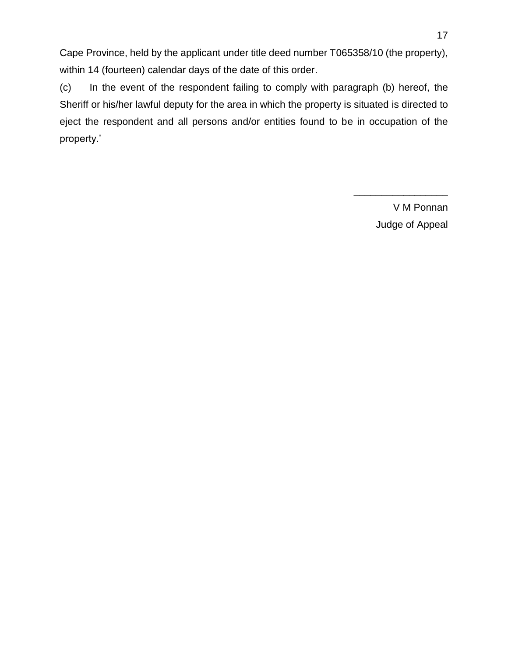Cape Province, held by the applicant under title deed number T065358/10 (the property), within 14 (fourteen) calendar days of the date of this order.

(c) In the event of the respondent failing to comply with paragraph (b) hereof, the Sheriff or his/her lawful deputy for the area in which the property is situated is directed to eject the respondent and all persons and/or entities found to be in occupation of the property.'

> V M Ponnan Judge of Appeal

\_\_\_\_\_\_\_\_\_\_\_\_\_\_\_\_\_